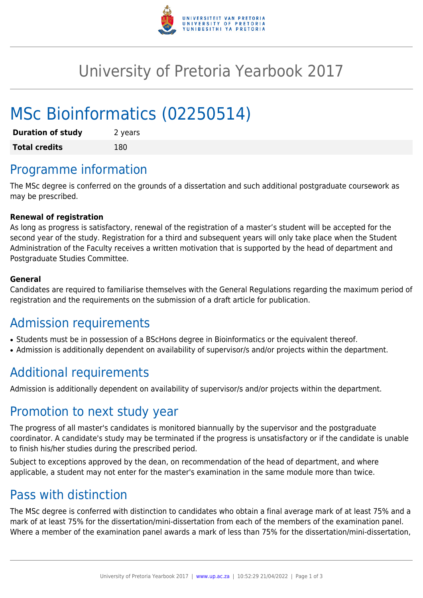

## University of Pretoria Yearbook 2017

# MSc Bioinformatics (02250514)

| <b>Duration of study</b> | 2 years |
|--------------------------|---------|
| <b>Total credits</b>     | 180     |

## Programme information

The MSc degree is conferred on the grounds of a dissertation and such additional postgraduate coursework as may be prescribed.

#### **Renewal of registration**

As long as progress is satisfactory, renewal of the registration of a master's student will be accepted for the second year of the study. Registration for a third and subsequent years will only take place when the Student Administration of the Faculty receives a written motivation that is supported by the head of department and Postgraduate Studies Committee.

#### **General**

Candidates are required to familiarise themselves with the General Regulations regarding the maximum period of registration and the requirements on the submission of a draft article for publication.

### Admission requirements

- Students must be in possession of a BScHons degree in Bioinformatics or the equivalent thereof.
- Admission is additionally dependent on availability of supervisor/s and/or projects within the department.

### Additional requirements

Admission is additionally dependent on availability of supervisor/s and/or projects within the department.

#### Promotion to next study year

The progress of all master's candidates is monitored biannually by the supervisor and the postgraduate coordinator. A candidate's study may be terminated if the progress is unsatisfactory or if the candidate is unable to finish his/her studies during the prescribed period.

Subject to exceptions approved by the dean, on recommendation of the head of department, and where applicable, a student may not enter for the master's examination in the same module more than twice.

#### Pass with distinction

The MSc degree is conferred with distinction to candidates who obtain a final average mark of at least 75% and a mark of at least 75% for the dissertation/mini-dissertation from each of the members of the examination panel. Where a member of the examination panel awards a mark of less than 75% for the dissertation/mini-dissertation,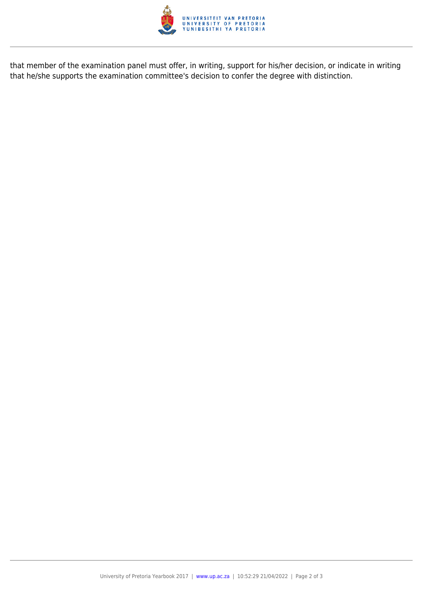

that member of the examination panel must offer, in writing, support for his/her decision, or indicate in writing that he/she supports the examination committee's decision to confer the degree with distinction.